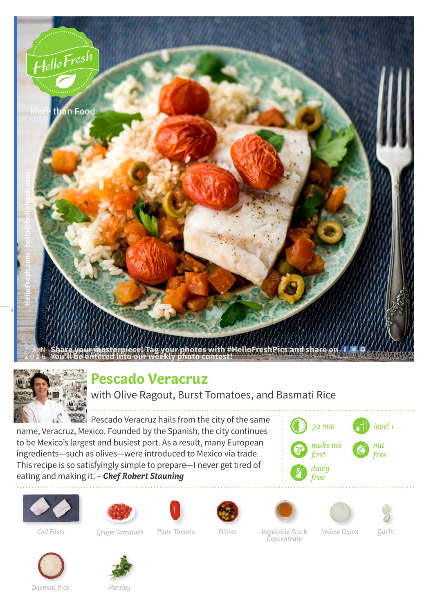



## **Pescado Veracruz**

with Olive Ragout, Burst Tomatoes, and Basmati Rice

**Pescado Veracruz hails from the city of the same** name, Veracruz, Mexico. Founded by the Spanish, the city continues to be Mexico's largest and busiest port. As a result, many European ingredients—such as olives—were introduced to Mexico via trade. This recipe is so satisfyingly simple to prepare—I never get tired of eating and making it. – *Chef Robert Stauning*

















*Cod Filets Grape Tomatoes Plum Tomato Garlic Olives Vegetable Stock Yellow Onion Concentrate*





*Basmati Rice Parsley*